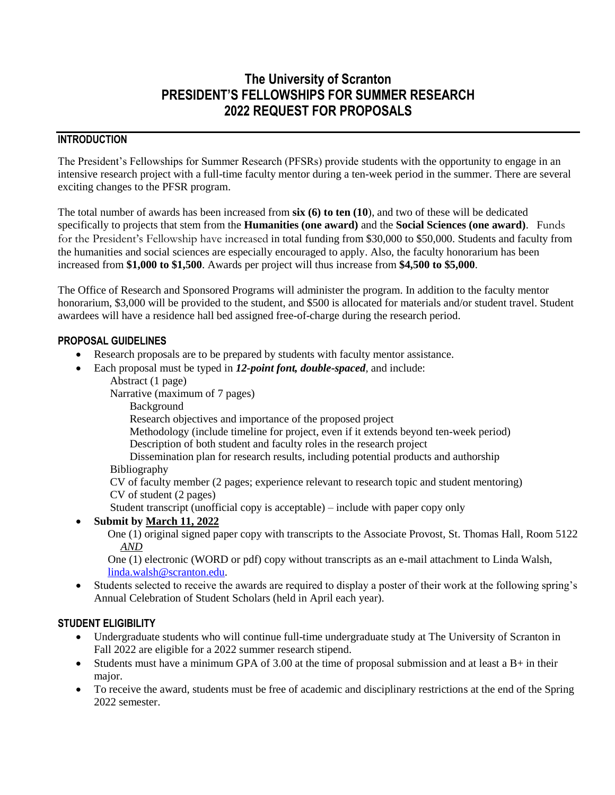# **The University of Scranton PRESIDENT'S FELLOWSHIPS FOR SUMMER RESEARCH 2022 REQUEST FOR PROPOSALS**

### **INTRODUCTION**

The President's Fellowships for Summer Research (PFSRs) provide students with the opportunity to engage in an intensive research project with a full-time faculty mentor during a ten-week period in the summer. There are several exciting changes to the PFSR program.

The total number of awards has been increased from **six (6) to ten (10**), and two of these will be dedicated specifically to projects that stem from the **Humanities (one award)** and the **Social Sciences (one award)**. Funds for the President's Fellowship have increased in total funding from \$30,000 to \$50,000. Students and faculty from the humanities and social sciences are especially encouraged to apply. Also, the faculty honorarium has been increased from **\$1,000 to \$1,500**. Awards per project will thus increase from **\$4,500 to \$5,000**.

The Office of Research and Sponsored Programs will administer the program. In addition to the faculty mentor honorarium, \$3,000 will be provided to the student, and \$500 is allocated for materials and/or student travel. Student awardees will have a residence hall bed assigned free-of-charge during the research period.

#### **PROPOSAL GUIDELINES**

- Research proposals are to be prepared by students with faculty mentor assistance.
- Each proposal must be typed in *12-point font, double-spaced,* and include:
	- Abstract (1 page)

Narrative (maximum of 7 pages)

Background

Research objectives and importance of the proposed project

Methodology (include timeline for project, even if it extends beyond ten-week period)

Description of both student and faculty roles in the research project

Dissemination plan for research results, including potential products and authorship

Bibliography

CV of faculty member (2 pages; experience relevant to research topic and student mentoring) CV of student (2 pages)

Student transcript (unofficial copy is acceptable) – include with paper copy only

#### • **Submit by March 11, 2022**

 One (1) original signed paper copy with transcripts to the Associate Provost, St. Thomas Hall, Room 5122 *AND*

 One (1) electronic (WORD or pdf) copy without transcripts as an e-mail attachment to Linda Walsh, [linda.walsh@scranton.edu.](mailto:linda.walsh@scranton.edu)

• Students selected to receive the awards are required to display a poster of their work at the following spring's Annual Celebration of Student Scholars (held in April each year).

#### **STUDENT ELIGIBILITY**

- Undergraduate students who will continue full-time undergraduate study at The University of Scranton in Fall 2022 are eligible for a 2022 summer research stipend.
- Students must have a minimum GPA of 3.00 at the time of proposal submission and at least a  $B+$  in their major.
- To receive the award, students must be free of academic and disciplinary restrictions at the end of the Spring 2022 semester.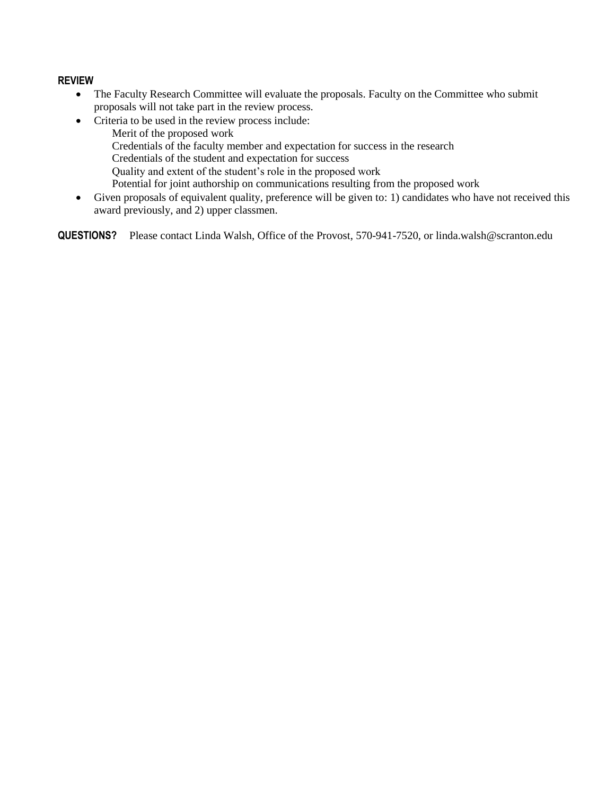#### **REVIEW**

- The Faculty Research Committee will evaluate the proposals. Faculty on the Committee who submit proposals will not take part in the review process.
- Criteria to be used in the review process include: Merit of the proposed work Credentials of the faculty member and expectation for success in the research Credentials of the student and expectation for success Quality and extent of the student's role in the proposed work Potential for joint authorship on communications resulting from the proposed work
- Given proposals of equivalent quality, preference will be given to: 1) candidates who have not received this award previously, and 2) upper classmen.

**QUESTIONS?** Please contact Linda Walsh, Office of the Provost, 570-941-7520, or linda.walsh@scranton.edu